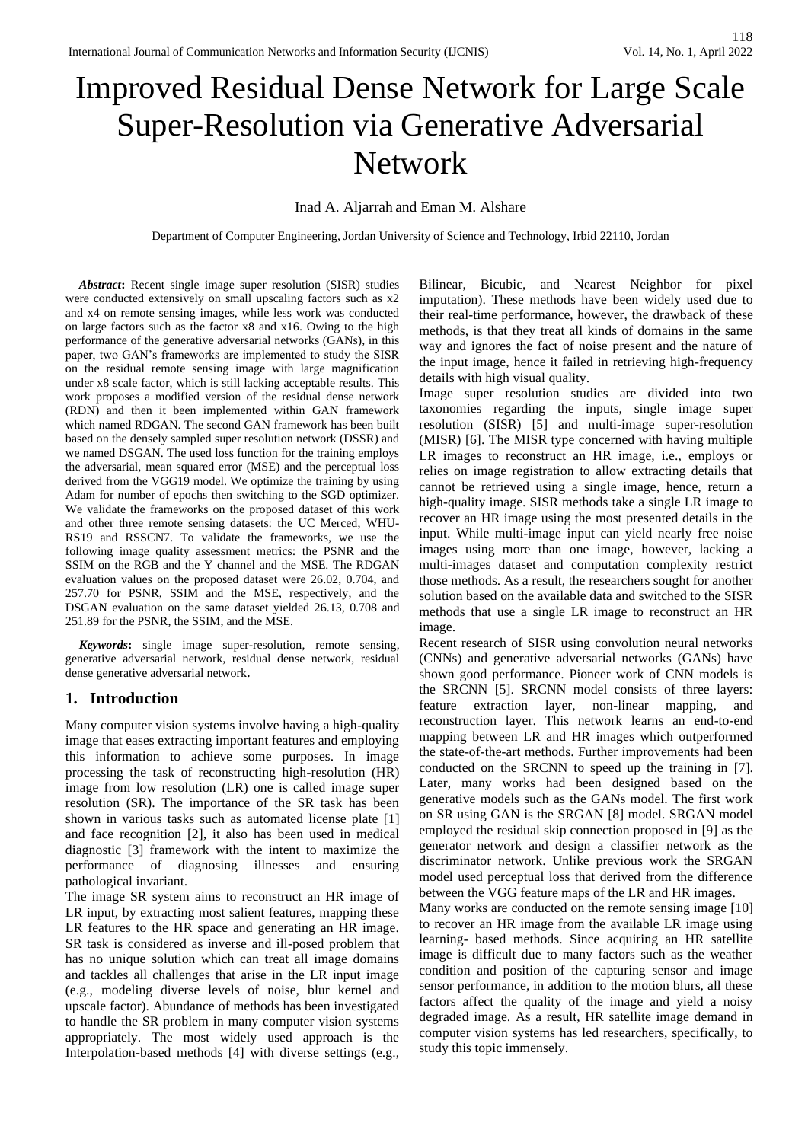# Improved Residual Dense Network for Large Scale Super-Resolution via Generative Adversarial Network

## Inad A. Aljarrah and Eman M. Alshare

Department of Computer Engineering, Jordan University of Science and Technology, Irbid 22110, Jordan

*Abstract***:** Recent single image super resolution (SISR) studies were conducted extensively on small upscaling factors such as x2 and x4 on remote sensing images, while less work was conducted on large factors such as the factor x8 and x16. Owing to the high performance of the generative adversarial networks (GANs), in this paper, two GAN's frameworks are implemented to study the SISR on the residual remote sensing image with large magnification under x8 scale factor, which is still lacking acceptable results. This work proposes a modified version of the residual dense network (RDN) and then it been implemented within GAN framework which named RDGAN. The second GAN framework has been built based on the densely sampled super resolution network (DSSR) and we named DSGAN. The used loss function for the training employs the adversarial, mean squared error (MSE) and the perceptual loss derived from the VGG19 model. We optimize the training by using Adam for number of epochs then switching to the SGD optimizer. We validate the frameworks on the proposed dataset of this work and other three remote sensing datasets: the UC Merced, WHU-RS19 and RSSCN7. To validate the frameworks, we use the following image quality assessment metrics: the PSNR and the SSIM on the RGB and the Y channel and the MSE. The RDGAN evaluation values on the proposed dataset were 26.02, 0.704, and 257.70 for PSNR, SSIM and the MSE, respectively, and the DSGAN evaluation on the same dataset yielded 26.13, 0.708 and 251.89 for the PSNR, the SSIM, and the MSE.

*Keywords***:** single image super-resolution, remote sensing, generative adversarial network, residual dense network, residual dense generative adversarial network**.** 

#### **1. Introduction**

Many computer vision systems involve having a high-quality image that eases extracting important features and employing this information to achieve some purposes. In image processing the task of reconstructing high-resolution (HR) image from low resolution (LR) one is called image super resolution (SR). The importance of the SR task has been shown in various tasks such as automated license plate [1] and face recognition [2], it also has been used in medical diagnostic [3] framework with the intent to maximize the performance of diagnosing illnesses and ensuring pathological invariant.

The image SR system aims to reconstruct an HR image of LR input, by extracting most salient features, mapping these LR features to the HR space and generating an HR image. SR task is considered as inverse and ill-posed problem that has no unique solution which can treat all image domains and tackles all challenges that arise in the LR input image (e.g., modeling diverse levels of noise, blur kernel and upscale factor). Abundance of methods has been investigated to handle the SR problem in many computer vision systems appropriately. The most widely used approach is the Interpolation-based methods [4] with diverse settings (e.g.,

Bilinear, Bicubic, and Nearest Neighbor for pixel imputation). These methods have been widely used due to their real-time performance, however, the drawback of these methods, is that they treat all kinds of domains in the same way and ignores the fact of noise present and the nature of the input image, hence it failed in retrieving high-frequency details with high visual quality.

Image super resolution studies are divided into two taxonomies regarding the inputs, single image super resolution (SISR) [5] and multi-image super-resolution (MISR) [6]. The MISR type concerned with having multiple LR images to reconstruct an HR image, i.e., employs or relies on image registration to allow extracting details that cannot be retrieved using a single image, hence, return a high-quality image. SISR methods take a single LR image to recover an HR image using the most presented details in the input. While multi-image input can yield nearly free noise images using more than one image, however, lacking a multi-images dataset and computation complexity restrict those methods. As a result, the researchers sought for another solution based on the available data and switched to the SISR methods that use a single LR image to reconstruct an HR image.

Recent research of SISR using convolution neural networks (CNNs) and generative adversarial networks (GANs) have shown good performance. Pioneer work of CNN models is the SRCNN [5]. SRCNN model consists of three layers: feature extraction layer, non-linear mapping, and reconstruction layer. This network learns an end-to-end mapping between LR and HR images which outperformed the state-of-the-art methods. Further improvements had been conducted on the SRCNN to speed up the training in [7]. Later, many works had been designed based on the generative models such as the GANs model. The first work on SR using GAN is the SRGAN [8] model. SRGAN model employed the residual skip connection proposed in [9] as the generator network and design a classifier network as the discriminator network. Unlike previous work the SRGAN model used perceptual loss that derived from the difference between the VGG feature maps of the LR and HR images.

Many works are conducted on the remote sensing image [10] to recover an HR image from the available LR image using learning- based methods. Since acquiring an HR satellite image is difficult due to many factors such as the weather condition and position of the capturing sensor and image sensor performance, in addition to the motion blurs, all these factors affect the quality of the image and yield a noisy degraded image. As a result, HR satellite image demand in computer vision systems has led researchers, specifically, to study this topic immensely.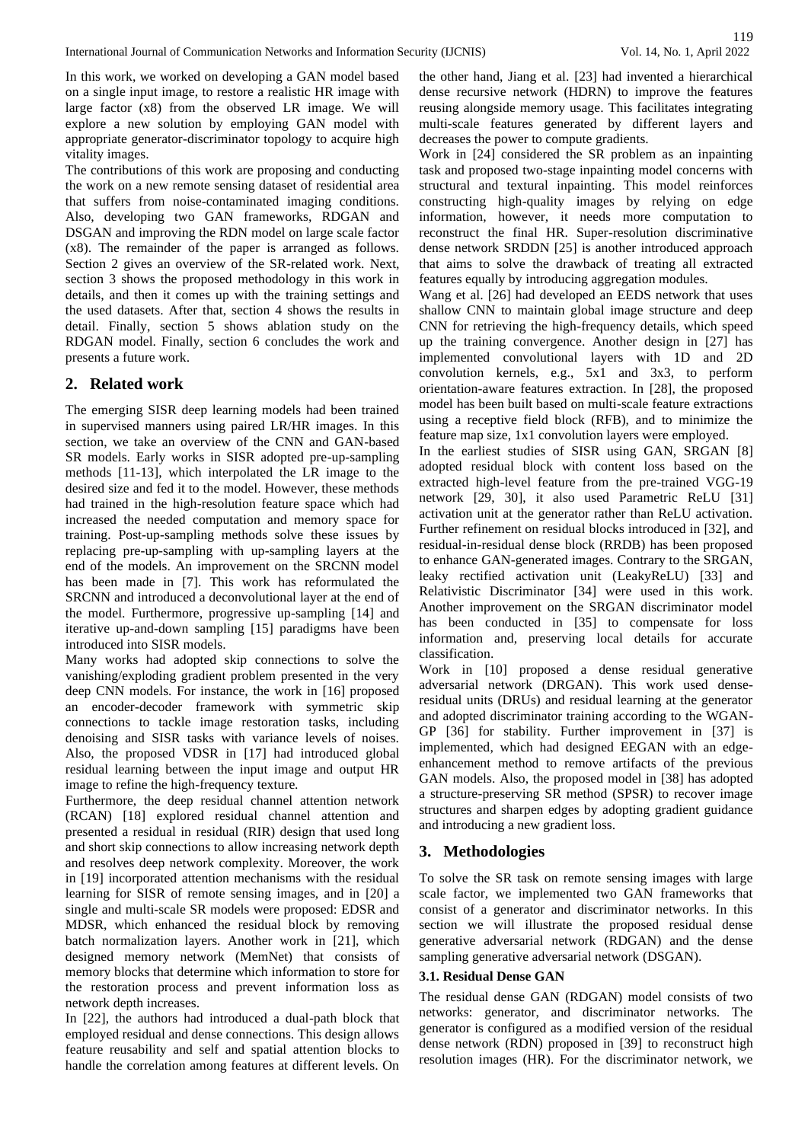In this work, we worked on developing a GAN model based on a single input image, to restore a realistic HR image with large factor (x8) from the observed LR image. We will explore a new solution by employing GAN model with appropriate generator-discriminator topology to acquire high vitality images.

The contributions of this work are proposing and conducting the work on a new remote sensing dataset of residential area that suffers from noise-contaminated imaging conditions. Also, developing two GAN frameworks, RDGAN and DSGAN and improving the RDN model on large scale factor (x8). The remainder of the paper is arranged as follows. Section 2 gives an overview of the SR-related work. Next, section 3 shows the proposed methodology in this work in details, and then it comes up with the training settings and the used datasets. After that, section 4 shows the results in detail. Finally, section 5 shows ablation study on the RDGAN model. Finally, section 6 concludes the work and presents a future work.

# **2. Related work**

The emerging SISR deep learning models had been trained in supervised manners using paired LR/HR images. In this section, we take an overview of the CNN and GAN-based SR models. Early works in SISR adopted pre-up-sampling methods [11-13], which interpolated the LR image to the desired size and fed it to the model. However, these methods had trained in the high-resolution feature space which had increased the needed computation and memory space for training. Post-up-sampling methods solve these issues by replacing pre-up-sampling with up-sampling layers at the end of the models. An improvement on the SRCNN model has been made in [7]. This work has reformulated the SRCNN and introduced a deconvolutional layer at the end of the model. Furthermore, progressive up-sampling [14] and iterative up-and-down sampling [15] paradigms have been introduced into SISR models.

Many works had adopted skip connections to solve the vanishing/exploding gradient problem presented in the very deep CNN models. For instance, the work in [16] proposed an encoder-decoder framework with symmetric skip connections to tackle image restoration tasks, including denoising and SISR tasks with variance levels of noises. Also, the proposed VDSR in [17] had introduced global residual learning between the input image and output HR image to refine the high-frequency texture.

Furthermore, the deep residual channel attention network (RCAN) [18] explored residual channel attention and presented a residual in residual (RIR) design that used long and short skip connections to allow increasing network depth and resolves deep network complexity. Moreover, the work in [19] incorporated attention mechanisms with the residual learning for SISR of remote sensing images, and in [20] a single and multi-scale SR models were proposed: EDSR and MDSR, which enhanced the residual block by removing batch normalization layers. Another work in [21], which designed memory network (MemNet) that consists of memory blocks that determine which information to store for the restoration process and prevent information loss as network depth increases.

In [22], the authors had introduced a dual-path block that employed residual and dense connections. This design allows feature reusability and self and spatial attention blocks to handle the correlation among features at different levels. On

the other hand, Jiang et al. [23] had invented a hierarchical dense recursive network (HDRN) to improve the features reusing alongside memory usage. This facilitates integrating multi-scale features generated by different layers and decreases the power to compute gradients.

Work in [24] considered the SR problem as an inpainting task and proposed two-stage inpainting model concerns with structural and textural inpainting. This model reinforces constructing high-quality images by relying on edge information, however, it needs more computation to reconstruct the final HR. Super-resolution discriminative dense network SRDDN [25] is another introduced approach that aims to solve the drawback of treating all extracted features equally by introducing aggregation modules.

Wang et al. [26] had developed an EEDS network that uses shallow CNN to maintain global image structure and deep CNN for retrieving the high-frequency details, which speed up the training convergence. Another design in [27] has implemented convolutional layers with 1D and 2D convolution kernels, e.g., 5x1 and 3x3, to perform orientation-aware features extraction. In [28], the proposed model has been built based on multi-scale feature extractions using a receptive field block (RFB), and to minimize the feature map size, 1x1 convolution layers were employed.

In the earliest studies of SISR using GAN, SRGAN [8] adopted residual block with content loss based on the extracted high-level feature from the pre-trained VGG-19 network [29, 30], it also used Parametric ReLU [31] activation unit at the generator rather than ReLU activation. Further refinement on residual blocks introduced in [32], and residual-in-residual dense block (RRDB) has been proposed to enhance GAN-generated images. Contrary to the SRGAN, leaky rectified activation unit (LeakyReLU) [33] and Relativistic Discriminator [34] were used in this work. Another improvement on the SRGAN discriminator model has been conducted in [35] to compensate for loss information and, preserving local details for accurate classification.

Work in [10] proposed a dense residual generative adversarial network (DRGAN). This work used denseresidual units (DRUs) and residual learning at the generator and adopted discriminator training according to the WGAN-GP [36] for stability. Further improvement in [37] is implemented, which had designed EEGAN with an edgeenhancement method to remove artifacts of the previous GAN models. Also, the proposed model in [38] has adopted a structure-preserving SR method (SPSR) to recover image structures and sharpen edges by adopting gradient guidance and introducing a new gradient loss.

# **3. Methodologies**

To solve the SR task on remote sensing images with large scale factor, we implemented two GAN frameworks that consist of a generator and discriminator networks. In this section we will illustrate the proposed residual dense generative adversarial network (RDGAN) and the dense sampling generative adversarial network (DSGAN).

#### **3.1. Residual Dense GAN**

The residual dense GAN (RDGAN) model consists of two networks: generator, and discriminator networks. The generator is configured as a modified version of the residual dense network (RDN) proposed in [39] to reconstruct high resolution images (HR). For the discriminator network, we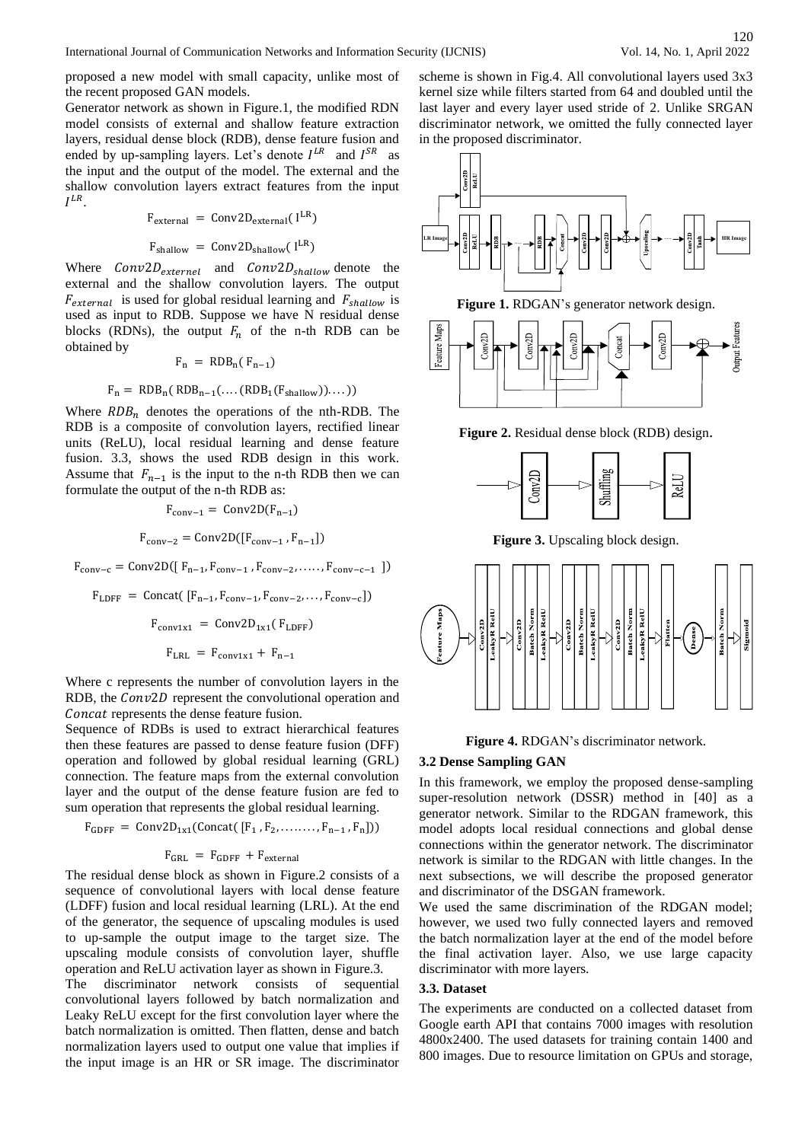proposed a new model with small capacity, unlike most of the recent proposed GAN models.

Generator network as shown in Figure.1, the modified RDN model consists of external and shallow feature extraction layers, residual dense block (RDB), dense feature fusion and ended by up-sampling layers. Let's denote  $I^{LR}$  and  $I^{SR}$  as the input and the output of the model. The external and the shallow convolution layers extract features from the input  $I^{LR}$ .

$$
F_{external} = Conv2D_{external}(I^{LR})
$$

$$
F_{\text{shallow}} = \text{Conv2D}_{\text{shallow}}(I^{\text{LR}})
$$

Where  $Conv2D_{externel}$  and  $Conv2D_{shallow}$  denote the external and the shallow convolution layers. The output  $F_{external}$  is used for global residual learning and  $F_{shallow}$  is used as input to RDB. Suppose we have N residual dense blocks (RDNs), the output  $F_n$  of the n-th RDB can be obtained by

$$
F_n = RDB_n(F_{n-1})
$$

$$
F_n = RDB_n ( RDB_{n-1} (.... (RDB_1 (F_{\text{shallow}}))....))
$$

Where  $RDB_n$  denotes the operations of the nth-RDB. The RDB is a composite of convolution layers, rectified linear units (ReLU), local residual learning and dense feature fusion. 3.3, shows the used RDB design in this work. Assume that  $F_{n-1}$  is the input to the n-th RDB then we can formulate the output of the n-th RDB as:

$$
F_{\text{conv-1}} = \text{Conv2D}(F_{n-1})
$$

$$
F_{\text{conv-2}} = \text{Conv2D}([F_{\text{conv-1}}, F_{n-1}])
$$

 $F_{conv-c} = Conv2D([\, \mathbf{F}_{n-1}, \mathbf{F}_{conv-1} \,$ ,  $\mathbf{F}_{conv-2}, \ldots, \mathbf{F}_{conv-c-1} \, ])$ 

$$
F_{LDFF} = \text{Concat}(\left[F_{n-1}, F_{conv-1}, F_{conv-2}, \dots, F_{conv-c}\right])
$$

$$
F_{conv1x1} = \text{Conv2D}_{1x1}(\left[F_{LDFF}\right)
$$

$$
F_{LRL} = F_{conv1x1} + F_{n-1}
$$

Where c represents the number of convolution layers in the RDB, the Conv2D represent the convolutional operation and Concat represents the dense feature fusion.

Sequence of RDBs is used to extract hierarchical features then these features are passed to dense feature fusion (DFF) operation and followed by global residual learning (GRL) connection. The feature maps from the external convolution layer and the output of the dense feature fusion are fed to sum operation that represents the global residual learning.

$$
F_{GDFF} = Conv2D_{1x1}(Concat([F_1, F_2, \ldots, F_{n-1}, F_n]))
$$

# $F_{GRL} = F_{GDFF} + F_{external}$

The residual dense block as shown in Figure.2 consists of a sequence of convolutional layers with local dense feature (LDFF) fusion and local residual learning (LRL). At the end of the generator, the sequence of upscaling modules is used to up-sample the output image to the target size. The upscaling module consists of convolution layer, shuffle operation and ReLU activation layer as shown in Figure.3.

The discriminator network consists of sequential convolutional layers followed by batch normalization and Leaky ReLU except for the first convolution layer where the batch normalization is omitted. Then flatten, dense and batch normalization layers used to output one value that implies if the input image is an HR or SR image. The discriminator

scheme is shown in Fig.4. All convolutional layers used 3x3 kernel size while filters started from 64 and doubled until the last layer and every layer used stride of 2. Unlike SRGAN discriminator network, we omitted the fully connected layer in the proposed discriminator.







**Figure 2.** Residual dense block (RDB) design.



**Figure 3.** Upscaling block design.



#### **Figure 4.** RDGAN's discriminator network.

#### **3.2 Dense Sampling GAN**

In this framework, we employ the proposed dense-sampling super-resolution network (DSSR) method in [40] as a generator network. Similar to the RDGAN framework, this model adopts local residual connections and global dense connections within the generator network. The discriminator network is similar to the RDGAN with little changes. In the next subsections, we will describe the proposed generator and discriminator of the DSGAN framework.

We used the same discrimination of the RDGAN model; however, we used two fully connected layers and removed the batch normalization layer at the end of the model before the final activation layer. Also, we use large capacity discriminator with more layers.

#### **3.3. Dataset**

The experiments are conducted on a collected dataset from Google earth API that contains 7000 images with resolution 4800x2400. The used datasets for training contain 1400 and 800 images. Due to resource limitation on GPUs and storage,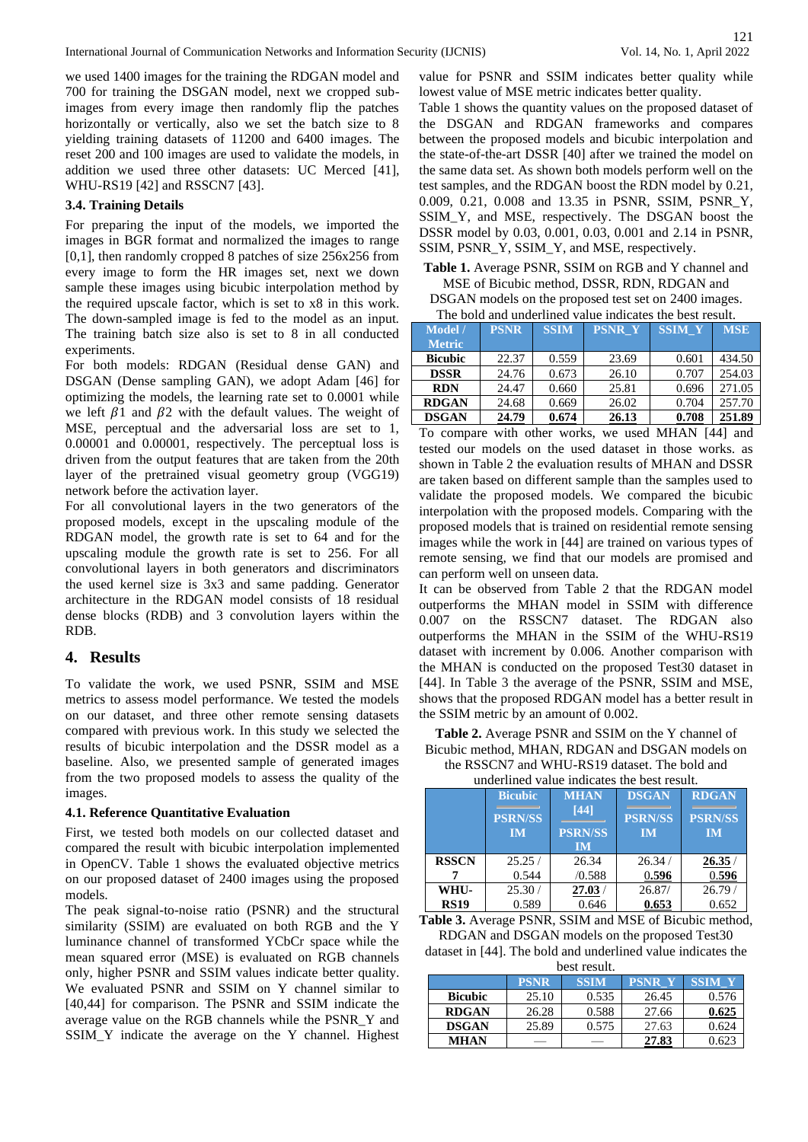we used 1400 images for the training the RDGAN model and 700 for training the DSGAN model, next we cropped subimages from every image then randomly flip the patches horizontally or vertically, also we set the batch size to 8 yielding training datasets of 11200 and 6400 images. The reset 200 and 100 images are used to validate the models, in addition we used three other datasets: UC Merced [41], WHU-RS19 [42] and RSSCN7 [43].

#### **3.4. Training Details**

For preparing the input of the models, we imported the images in BGR format and normalized the images to range [0,1], then randomly cropped 8 patches of size 256x256 from every image to form the HR images set, next we down sample these images using bicubic interpolation method by the required upscale factor, which is set to x8 in this work. The down-sampled image is fed to the model as an input. The training batch size also is set to 8 in all conducted experiments.

For both models: RDGAN (Residual dense GAN) and DSGAN (Dense sampling GAN), we adopt Adam [46] for optimizing the models, the learning rate set to 0.0001 while we left  $\beta$ 1 and  $\beta$ 2 with the default values. The weight of MSE, perceptual and the adversarial loss are set to 1, 0.00001 and 0.00001, respectively. The perceptual loss is driven from the output features that are taken from the 20th layer of the pretrained visual geometry group (VGG19) network before the activation layer.

For all convolutional layers in the two generators of the proposed models, except in the upscaling module of the RDGAN model, the growth rate is set to 64 and for the upscaling module the growth rate is set to 256. For all convolutional layers in both generators and discriminators the used kernel size is 3x3 and same padding. Generator architecture in the RDGAN model consists of 18 residual dense blocks (RDB) and 3 convolution layers within the RDB.

## **4. Results**

To validate the work, we used PSNR, SSIM and MSE metrics to assess model performance. We tested the models on our dataset, and three other remote sensing datasets compared with previous work. In this study we selected the results of bicubic interpolation and the DSSR model as a baseline. Also, we presented sample of generated images from the two proposed models to assess the quality of the images.

#### **4.1. Reference Quantitative Evaluation**

First, we tested both models on our collected dataset and compared the result with bicubic interpolation implemented in OpenCV. Table 1 shows the evaluated objective metrics on our proposed dataset of 2400 images using the proposed models.

The peak signal-to-noise ratio (PSNR) and the structural similarity (SSIM) are evaluated on both RGB and the Y luminance channel of transformed YCbCr space while the mean squared error (MSE) is evaluated on RGB channels only, higher PSNR and SSIM values indicate better quality. We evaluated PSNR and SSIM on Y channel similar to [40,44] for comparison. The PSNR and SSIM indicate the average value on the RGB channels while the PSNR\_Y and SSIM\_Y indicate the average on the Y channel. Highest value for PSNR and SSIM indicates better quality while lowest value of MSE metric indicates better quality.

Table 1 shows the quantity values on the proposed dataset of the DSGAN and RDGAN frameworks and compares between the proposed models and bicubic interpolation and the state-of-the-art DSSR [40] after we trained the model on the same data set. As shown both models perform well on the test samples, and the RDGAN boost the RDN model by 0.21, 0.009, 0.21, 0.008 and 13.35 in PSNR, SSIM, PSNR\_Y, SSIM\_Y, and MSE, respectively. The DSGAN boost the DSSR model by 0.03, 0.001, 0.03, 0.001 and 2.14 in PSNR, SSIM, PSNR\_Y, SSIM\_Y, and MSE, respectively.

**Table 1.** Average PSNR, SSIM on RGB and Y channel and MSE of Bicubic method, DSSR, RDN, RDGAN and DSGAN models on the proposed test set on 2400 images. The bold and underlined value indicates the best result.

| The bold and andermied value muleates the best result. |             |             |               |               |            |
|--------------------------------------------------------|-------------|-------------|---------------|---------------|------------|
| Model /                                                | <b>PSNR</b> | <b>SSIM</b> | <b>PSNR Y</b> | <b>SSIM Y</b> | <b>MSE</b> |
| <b>Metric</b>                                          |             |             |               |               |            |
| <b>Bicubic</b>                                         | 22.37       | 0.559       | 23.69         | 0.601         | 434.50     |
| <b>DSSR</b>                                            | 24.76       | 0.673       | 26.10         | 0.707         | 254.03     |
| <b>RDN</b>                                             | 24.47       | 0.660       | 25.81         | 0.696         | 271.05     |
| <b>RDGAN</b>                                           | 24.68       | 0.669       | 26.02         | 0.704         | 257.70     |
| <b>DSGAN</b>                                           | 24.79       | 0.674       | 26.13         | 0.708         | 251.89     |

To compare with other works, we used MHAN [44] and tested our models on the used dataset in those works. as shown in Table 2 the evaluation results of MHAN and DSSR are taken based on different sample than the samples used to validate the proposed models. We compared the bicubic interpolation with the proposed models. Comparing with the proposed models that is trained on residential remote sensing images while the work in [44] are trained on various types of remote sensing, we find that our models are promised and can perform well on unseen data.

It can be observed from Table 2 that the RDGAN model outperforms the MHAN model in SSIM with difference 0.007 on the RSSCN7 dataset. The RDGAN also outperforms the MHAN in the SSIM of the WHU-RS19 dataset with increment by 0.006. Another comparison with the MHAN is conducted on the proposed Test30 dataset in [44]. In Table 3 the average of the PSNR, SSIM and MSE, shows that the proposed RDGAN model has a better result in the SSIM metric by an amount of 0.002.

**Table 2.** Average PSNR and SSIM on the Y channel of Bicubic method, MHAN, RDGAN and DSGAN models on the RSSCN7 and WHU-RS19 dataset. The bold and

underlined value indicates the best result.

| undermod vange mandates the sest result. |                |                |                |                |  |
|------------------------------------------|----------------|----------------|----------------|----------------|--|
|                                          | <b>Bicubic</b> | <b>MHAN</b>    | <b>DSGAN</b>   | <b>RDGAN</b>   |  |
|                                          | <b>PSRN/SS</b> | [44]           | <b>PSRN/SS</b> | <b>PSRN/SS</b> |  |
|                                          | <b>IM</b>      | <b>PSRN/SS</b> | <b>IM</b>      | <b>IM</b>      |  |
|                                          |                | <b>IM</b>      |                |                |  |
| <b>RSSCN</b>                             | 25.25/         | 26.34          | 26.34/         | 26.35/         |  |
|                                          | 0.544          | /0.588         | 0.596          | 0.596          |  |
| WHU-                                     | 25.30/         | 27.03/         | 26.87/         | 26.79/         |  |
| <b>RS19</b>                              | 0.589          | 0.646          | 0.653          | 0.652          |  |

**Table 3.** Average PSNR, SSIM and MSE of Bicubic method, RDGAN and DSGAN models on the proposed Test30

dataset in [44]. The bold and underlined value indicates the best result.

|                | <b>PSNR</b> | <b>SSIM</b> | <b>PSNR</b> |       |
|----------------|-------------|-------------|-------------|-------|
| <b>Bicubic</b> | 25.10       | 0.535       | 26.45       | 0.576 |
| <b>RDGAN</b>   | 26.28       | 0.588       | 27.66       | 0.625 |
| <b>DSGAN</b>   | 25.89       | 0.575       | 27.63       | 0.624 |
| MHAN           |             |             | 27.83       |       |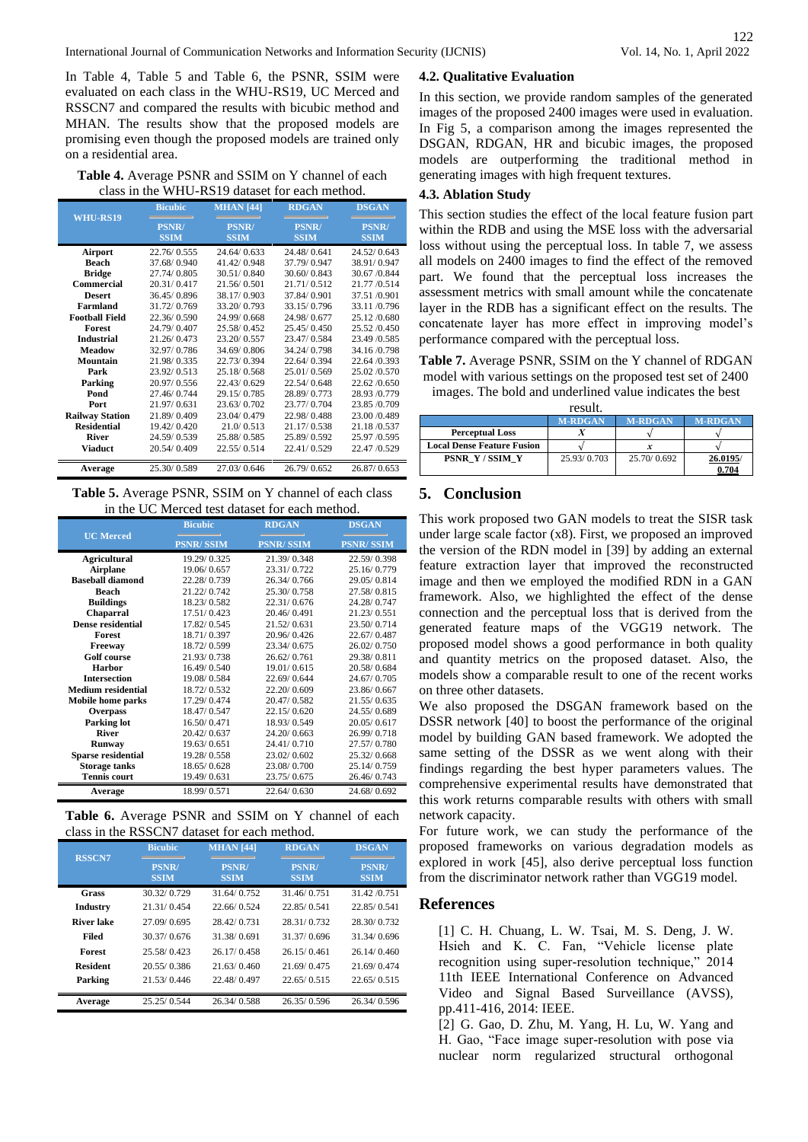In Table 4, Table 5 and Table 6, the PSNR, SSIM were evaluated on each class in the WHU-RS19, UC Merced and RSSCN7 and compared the results with bicubic method and MHAN. The results show that the proposed models are promising even though the proposed models are trained only on a residential area.

**Table 4.** Average PSNR and SSIM on Y channel of each class in the WHU-RS19 dataset for each method.

|                        | <b>Bicubic</b>              | <b>MHAN</b> [44]            | <b>RDGAN</b>                | <b>DSGAN</b>                |
|------------------------|-----------------------------|-----------------------------|-----------------------------|-----------------------------|
| <b>WHU-RS19</b>        | <b>PSNR/</b><br><b>SSIM</b> | <b>PSNR/</b><br><b>SSIM</b> | <b>PSNR/</b><br><b>SSIM</b> | <b>PSNR/</b><br><b>SSIM</b> |
| Airport                | 22.76/0.555                 | 24.64/0.633                 | 24.48/0.641                 | 24.52/0.643                 |
| <b>Beach</b>           | 37.68/0.940                 | 41.42/0.948                 | 37.79/0.947                 | 38.91/0.947                 |
| <b>Bridge</b>          | 27.74/0.805                 | 30.51/0.840                 | 30.60/0.843                 | 30.67 / 0.844               |
| <b>Commercial</b>      | 20.31/0.417                 | 21.56/0.501                 | 21.71/0.512                 | 21.77 / 0.514               |
| <b>Desert</b>          | 36.45/0.896                 | 38.17/0.903                 | 37.84/0.901                 | 37.51 /0.901                |
| <b>Farmland</b>        | 31.72/0.769                 | 33.20/0.793                 | 33.15/0.796                 | 33.11/0.796                 |
| <b>Football Field</b>  | 22.36/0.590                 | 24.99/0.668                 | 24.98/0.677                 | 25.12/0.680                 |
| <b>Forest</b>          | 24.79/0.407                 | 25.58/0.452                 | 25.45/0.450                 | 25.52 / 0.450               |
| <b>Industrial</b>      | 21.26/0.473                 | 23.20/0.557                 | 23.47/0.584                 | 23.49 / 0.585               |
| <b>Meadow</b>          | 32.97/0.786                 | 34.69/0.806                 | 34.24/0.798                 | 34.16/0.798                 |
| Mountain               | 21.98/0.335                 | 22.73/0.394                 | 22.64/0.394                 | 22.64 / 0.393               |
| Park                   | 23.92/0.513                 | 25.18/0.568                 | 25.01/0.569                 | 25.02 / 0.570               |
| Parking                | 20.97/0.556                 | 22.43/0.629                 | 22.54/0.648                 | 22.62 / 0.650               |
| Pond                   | 27.46/0.744                 | 29.15/0.785                 | 28.89/0.773                 | 28.93 /0.779                |
| Port                   | 21.97/0.631                 | 23.63/0.702                 | 23.77/0.704                 | 23.85 / 0.709               |
| <b>Railway Station</b> | 21.89/0.409                 | 23.04/0.479                 | 22.98/0.488                 | 23.00 /0.489                |
| <b>Residential</b>     | 19.42/0.420                 | 21.0/0.513                  | 21.17/0.538                 | 21.18 / 0.537               |
| <b>River</b>           | 24.59/0.539                 | 25.88/0.585                 | 25.89/0.592                 | 25.97 / 0.595               |
| Viaduct                | 20.54/0.409                 | 22.55/0.514                 | 22.41/0.529                 | 22.47 / 0.529               |
| Average                | 25.30/0.589                 | 27.03/0.646                 | 26.79/0.652                 | 26.87/0.653                 |

**Table 5.** Average PSNR, SSIM on Y channel of each class in the UC Merced test dataset for each method.

|                           | <b>Bicubic</b>   | <b>RDGAN</b>     | <b>DSGAN</b>     |
|---------------------------|------------------|------------------|------------------|
| <b>UC</b> Merced          | <b>PSNR/SSIM</b> | <b>PSNR/SSIM</b> | <b>PSNR/SSIM</b> |
| <b>Agricultural</b>       | 19.29/0.325      | 21.39/0.348      | 22.59/0.398      |
| <b>Airplane</b>           | 19.06/0.657      | 23.31/0.722      | 25.16/0.779      |
| <b>Baseball diamond</b>   | 22.28/0.739      | 26.34/0.766      | 29.05/0.814      |
| <b>Beach</b>              | 21.22/0.742      | 25.30/0.758      | 27.58/0.815      |
| <b>Buildings</b>          | 18.23/0.582      | 22.31/0.676      | 24.28/0.747      |
| <b>Chaparral</b>          | 17.51/0.423      | 20.46/0.491      | 21.23/0.551      |
| Dense residential         | 17.82/0.545      | 21.52/0.631      | 23.50/0.714      |
| <b>Forest</b>             | 18.71/0.397      | 20.96/0.426      | 22.67/0.487      |
| Freeway                   | 18.72/0.599      | 23.34/0.675      | 26.02/0.750      |
| <b>Golf</b> course        | 21.93/0.738      | 26.62/0.761      | 29.38/0.811      |
| <b>Harbor</b>             | 16.49/0.540      | 19.01/0.615      | 20.58/0.684      |
| <b>Intersection</b>       | 19.08/0.584      | 22.69/0.644      | 24.67/0.705      |
| <b>Medium residential</b> | 18.72/0.532      | 22.20/0.609      | 23.86/0.667      |
| <b>Mobile home parks</b>  | 17.29/0.474      | 20.47/0.582      | 21.55/0.635      |
| <b>Overpass</b>           | 18.47/0.547      | 22.15/0.620      | 24.55/0.689      |
| <b>Parking lot</b>        | 16.50/0.471      | 18.93/0.549      | 20.05/0.617      |
| <b>River</b>              | 20.42/0.637      | 24.20/0.663      | 26.99/0.718      |
| <b>Runway</b>             | 19.63/0.651      | 24.41/0.710      | 27.57/0.780      |
| <b>Sparse residential</b> | 19.28/0.558      | 23.02/0.602      | 25.32/0.668      |
| <b>Storage tanks</b>      | 18.65/0.628      | 23.08/0.700      | 25.14/0.759      |
| <b>Tennis court</b>       | 19.49/0.631      | 23.75/0.675      | 26.46/0.743      |
| Average                   | 18.99/0.571      | 22.64/0.630      | 24.68/0.692      |

**Table 6.** Average PSNR and SSIM on Y channel of each class in the RSSCN7 dataset for each method.

| <b>RSSCN7</b>   | <b>Bicubic</b>              | <b>MHAN</b> [44]            | <b>RDGAN</b>                | <b>DSGAN</b>                |
|-----------------|-----------------------------|-----------------------------|-----------------------------|-----------------------------|
|                 | <b>PSNR/</b><br><b>SSIM</b> | <b>PSNR/</b><br><b>SSIM</b> | <b>PSNR/</b><br><b>SSIM</b> | <b>PSNR/</b><br><b>SSIM</b> |
| Grass           | 30.32/0.729                 | 31 64/0 752                 | 31 46/0751                  | 31.42 / 0.751               |
| <b>Industry</b> | 21.31/0.454                 | 22.66/0.524                 | 22.85/0.541                 | 22.85/0.541                 |
| River lake      | 27.09/0.695                 | 28 42/0731                  | 28.31/0.732                 | 28.30/0.732                 |
| Filed           | 30.37/0.676                 | 31.38/0.691                 | 31.37/0.696                 | 31.34/0.696                 |
| Forest          | 25 58/0423                  | 26 17/0 458                 | 26 15/0461                  | 26 14/0 460                 |
| <b>Resident</b> | 20.55/0.386                 | 21.63/0.460                 | 21.69/0.475                 | 21.69/0.474                 |
| Parking         | 21.53/0.446                 | 22.48/0.497                 | 22.65/0.515                 | 22.65/0.515                 |
| Average         | 25.25/0.544                 | 26.34/0.588                 | 26.35/0.596                 | 26.34/0.596                 |

#### **4.2. Qualitative Evaluation**

In this section, we provide random samples of the generated images of the proposed 2400 images were used in evaluation. In Fig 5, a comparison among the images represented the DSGAN, RDGAN, HR and bicubic images, the proposed models are outperforming the traditional method in generating images with high frequent textures.

## **4.3. Ablation Study**

This section studies the effect of the local feature fusion part within the RDB and using the MSE loss with the adversarial loss without using the perceptual loss. In table 7, we assess all models on 2400 images to find the effect of the removed part. We found that the perceptual loss increases the assessment metrics with small amount while the concatenate layer in the RDB has a significant effect on the results. The concatenate layer has more effect in improving model's performance compared with the perceptual loss.

**Table 7.** Average PSNR, SSIM on the Y channel of RDGAN model with various settings on the proposed test set of 2400 images. The bold and underlined value indicates the best

|                                   | resuit.        |                |                |
|-----------------------------------|----------------|----------------|----------------|
|                                   | <b>M-RDGAN</b> | <b>M-RDGAN</b> | <b>M-RDGAN</b> |
| <b>Perceptual Loss</b>            |                |                |                |
| <b>Local Dense Feature Fusion</b> |                |                |                |
| <b>PSNR Y/SSIM Y</b>              | 25.93/0.703    | 25.70/0.692    | 26.0195/       |
|                                   |                |                | 0.704          |

result.

## **5. Conclusion**

This work proposed two GAN models to treat the SISR task under large scale factor (x8). First, we proposed an improved the version of the RDN model in [39] by adding an external feature extraction layer that improved the reconstructed image and then we employed the modified RDN in a GAN framework. Also, we highlighted the effect of the dense connection and the perceptual loss that is derived from the generated feature maps of the VGG19 network. The proposed model shows a good performance in both quality and quantity metrics on the proposed dataset. Also, the models show a comparable result to one of the recent works on three other datasets.

We also proposed the DSGAN framework based on the DSSR network [40] to boost the performance of the original model by building GAN based framework. We adopted the same setting of the DSSR as we went along with their findings regarding the best hyper parameters values. The comprehensive experimental results have demonstrated that this work returns comparable results with others with small network capacity.

For future work, we can study the performance of the proposed frameworks on various degradation models as explored in work [45], also derive perceptual loss function from the discriminator network rather than VGG19 model.

#### **References**

[1] C. H. Chuang, L. W. Tsai, M. S. Deng, J. W. Hsieh and K. C. Fan, "Vehicle license plate recognition using super-resolution technique," 2014 11th IEEE International Conference on Advanced Video and Signal Based Surveillance (AVSS), pp.411-416, 2014: IEEE.

[2] G. Gao, D. Zhu, M. Yang, H. Lu, W. Yang and H. Gao, "Face image super-resolution with pose via nuclear norm regularized structural orthogonal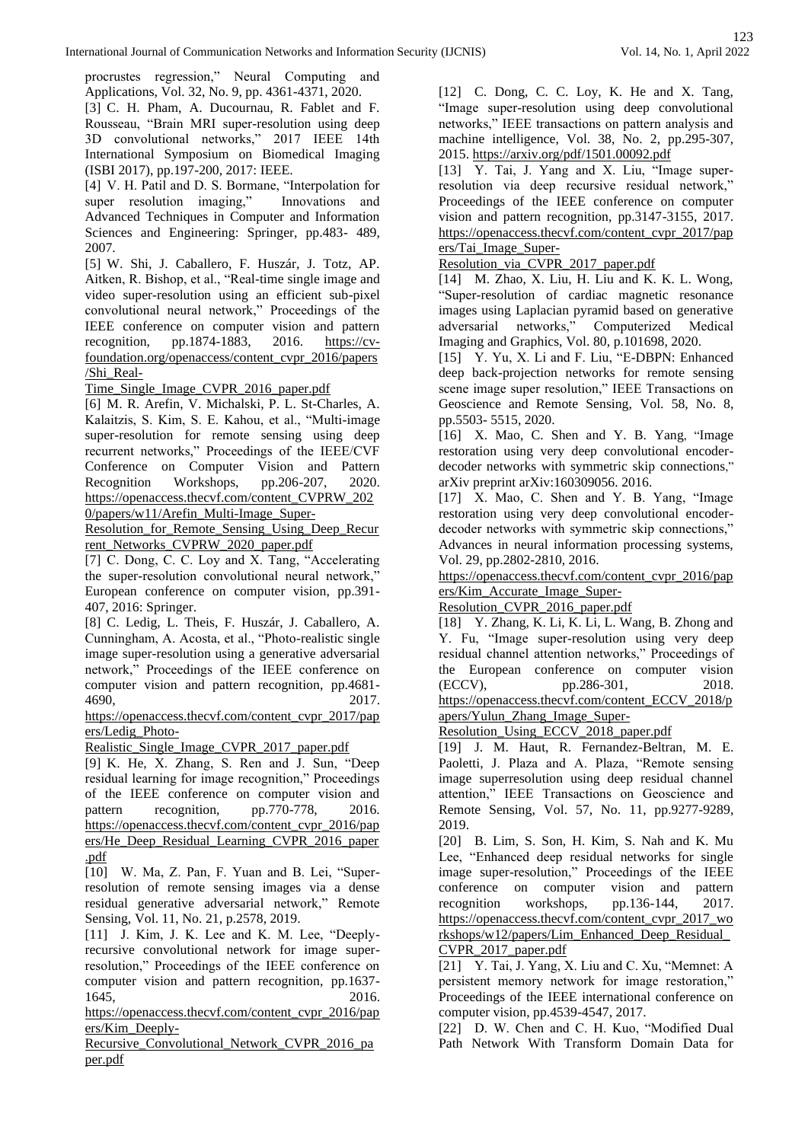procrustes regression," Neural Computing and Applications, Vol. 32, No. 9, pp. 4361-4371, 2020.

[3] C. H. Pham, A. Ducournau, R. Fablet and F. Rousseau, "Brain MRI super-resolution using deep 3D convolutional networks," 2017 IEEE 14th International Symposium on Biomedical Imaging (ISBI 2017), pp.197-200, 2017: IEEE.

[4] V. H. Patil and D. S. Bormane, "Interpolation for super resolution imaging," Innovations and Advanced Techniques in Computer and Information Sciences and Engineering: Springer, pp.483- 489, 2007.

[5] W. Shi, J. Caballero, F. Huszár, J. Totz, AP. Aitken, R. Bishop, et al., "Real-time single image and video super-resolution using an efficient sub-pixel convolutional neural network," Proceedings of the IEEE conference on computer vision and pattern recognition, pp.1874-1883, 2016. [https://cv](https://cv-foundation.org/openaccess/content_cvpr_2016/papers/Shi_Real-Time_Single_Image_CVPR_2016_paper.pdf)[foundation.org/openaccess/content\\_cvpr\\_2016/papers](https://cv-foundation.org/openaccess/content_cvpr_2016/papers/Shi_Real-Time_Single_Image_CVPR_2016_paper.pdf) [/Shi\\_Real-](https://cv-foundation.org/openaccess/content_cvpr_2016/papers/Shi_Real-Time_Single_Image_CVPR_2016_paper.pdf)

[Time\\_Single\\_Image\\_CVPR\\_2016\\_paper.pdf](https://cv-foundation.org/openaccess/content_cvpr_2016/papers/Shi_Real-Time_Single_Image_CVPR_2016_paper.pdf)

[6] M. R. Arefin, V. Michalski, P. L. St-Charles, A. Kalaitzis, S. Kim, S. E. Kahou, et al., "Multi-image super-resolution for remote sensing using deep recurrent networks," Proceedings of the IEEE/CVF Conference on Computer Vision and Pattern Recognition Workshops, pp.206-207, 2020. [https://openaccess.thecvf.com/content\\_CVPRW\\_202](https://openaccess.thecvf.com/content_CVPRW_2020/papers/w11/Arefin_Multi-Image_Super-Resolution_for_Remote_Sensing_Using_Deep_Recurrent_Networks_CVPRW_2020_paper.pdf) [0/papers/w11/Arefin\\_Multi-Image\\_Super-](https://openaccess.thecvf.com/content_CVPRW_2020/papers/w11/Arefin_Multi-Image_Super-Resolution_for_Remote_Sensing_Using_Deep_Recurrent_Networks_CVPRW_2020_paper.pdf)

[Resolution\\_for\\_Remote\\_Sensing\\_Using\\_Deep\\_Recur](https://openaccess.thecvf.com/content_CVPRW_2020/papers/w11/Arefin_Multi-Image_Super-Resolution_for_Remote_Sensing_Using_Deep_Recurrent_Networks_CVPRW_2020_paper.pdf) [rent\\_Networks\\_CVPRW\\_2020\\_paper.pdf](https://openaccess.thecvf.com/content_CVPRW_2020/papers/w11/Arefin_Multi-Image_Super-Resolution_for_Remote_Sensing_Using_Deep_Recurrent_Networks_CVPRW_2020_paper.pdf)

[7] C. Dong, C. C. Loy and X. Tang, "Accelerating the super-resolution convolutional neural network," European conference on computer vision, pp.391- 407, 2016: Springer.

[8] C. Ledig, L. Theis, F. Huszár, J. Caballero, A. Cunningham, A. Acosta, et al., "Photo-realistic single image super-resolution using a generative adversarial network," Proceedings of the IEEE conference on computer vision and pattern recognition, pp.4681- 4690, 2017.

[https://openaccess.thecvf.com/content\\_cvpr\\_2017/pap](https://openaccess.thecvf.com/content_cvpr_2017/papers/Ledig_Photo-Realistic_Single_Image_CVPR_2017_paper.pdf) [ers/Ledig\\_Photo-](https://openaccess.thecvf.com/content_cvpr_2017/papers/Ledig_Photo-Realistic_Single_Image_CVPR_2017_paper.pdf)

Realistic Single Image CVPR 2017 paper.pdf

[9] K. He, X. Zhang, S. Ren and J. Sun, "Deep residual learning for image recognition," Proceedings of the IEEE conference on computer vision and pattern recognition, pp.770-778, 2016. [https://openaccess.thecvf.com/content\\_cvpr\\_2016/pap](https://openaccess.thecvf.com/content_cvpr_2016/papers/He_Deep_Residual_Learning_CVPR_2016_paper.pdf) [ers/He\\_Deep\\_Residual\\_Learning\\_CVPR\\_2016\\_paper](https://openaccess.thecvf.com/content_cvpr_2016/papers/He_Deep_Residual_Learning_CVPR_2016_paper.pdf) [.pdf](https://openaccess.thecvf.com/content_cvpr_2016/papers/He_Deep_Residual_Learning_CVPR_2016_paper.pdf)

[10] W. Ma, Z. Pan, F. Yuan and B. Lei, "Superresolution of remote sensing images via a dense residual generative adversarial network," Remote Sensing, Vol. 11, No. 21, p.2578, 2019.

[11] J. Kim, J. K. Lee and K. M. Lee, "Deeplyrecursive convolutional network for image superresolution," Proceedings of the IEEE conference on computer vision and pattern recognition, pp.1637- 1645, 2016.

[https://openaccess.thecvf.com/content\\_cvpr\\_2016/pap](https://openaccess.thecvf.com/content_cvpr_2016/papers/Kim_Deeply-Recursive_Convolutional_Network_CVPR_2016_paper.pdf) [ers/Kim\\_Deeply-](https://openaccess.thecvf.com/content_cvpr_2016/papers/Kim_Deeply-Recursive_Convolutional_Network_CVPR_2016_paper.pdf)

[Recursive\\_Convolutional\\_Network\\_CVPR\\_2016\\_pa](https://openaccess.thecvf.com/content_cvpr_2016/papers/Kim_Deeply-Recursive_Convolutional_Network_CVPR_2016_paper.pdf) [per.pdf](https://openaccess.thecvf.com/content_cvpr_2016/papers/Kim_Deeply-Recursive_Convolutional_Network_CVPR_2016_paper.pdf)

[12] C. Dong, C. C. Loy, K. He and X. Tang, "Image super-resolution using deep convolutional networks," IEEE transactions on pattern analysis and machine intelligence, Vol. 38, No. 2, pp.295-307, 2015. <https://arxiv.org/pdf/1501.00092.pdf>

[13] Y. Tai, J. Yang and X. Liu, "Image superresolution via deep recursive residual network," Proceedings of the IEEE conference on computer vision and pattern recognition, pp.3147-3155, 2017. [https://openaccess.thecvf.com/content\\_cvpr\\_2017/pap](https://openaccess.thecvf.com/content_cvpr_2017/papers/Tai_Image_Super-Resolution_via_CVPR_2017_paper.pdf) [ers/Tai\\_Image\\_Super-](https://openaccess.thecvf.com/content_cvpr_2017/papers/Tai_Image_Super-Resolution_via_CVPR_2017_paper.pdf)

Resolution via CVPR 2017 paper.pdf

[14] M. Zhao, X. Liu, H. Liu and K. K. L. Wong, "Super-resolution of cardiac magnetic resonance images using Laplacian pyramid based on generative adversarial networks," Computerized Medical Imaging and Graphics, Vol. 80, p.101698, 2020.

[15] Y. Yu, X. Li and F. Liu, "E-DBPN: Enhanced deep back-projection networks for remote sensing scene image super resolution," IEEE Transactions on Geoscience and Remote Sensing, Vol. 58, No. 8, pp.5503- 5515, 2020.

[16] X. Mao, C. Shen and Y. B. Yang, "Image restoration using very deep convolutional encoderdecoder networks with symmetric skip connections," arXiv preprint arXiv:160309056. 2016.

[17] X. Mao, C. Shen and Y. B. Yang, "Image restoration using very deep convolutional encoderdecoder networks with symmetric skip connections," Advances in neural information processing systems, Vol. 29, pp.2802-2810, 2016.

[https://openaccess.thecvf.com/content\\_cvpr\\_2016/pap](https://openaccess.thecvf.com/content_cvpr_2016/papers/Kim_Accurate_Image_Super-Resolution_CVPR_2016_paper.pdf) [ers/Kim\\_Accurate\\_Image\\_Super-](https://openaccess.thecvf.com/content_cvpr_2016/papers/Kim_Accurate_Image_Super-Resolution_CVPR_2016_paper.pdf)

[Resolution\\_CVPR\\_2016\\_paper.pdf](https://openaccess.thecvf.com/content_cvpr_2016/papers/Kim_Accurate_Image_Super-Resolution_CVPR_2016_paper.pdf)

[18] Y. Zhang, K. Li, K. Li, L. Wang, B. Zhong and Y. Fu, "Image super-resolution using very deep residual channel attention networks," Proceedings of the European conference on computer vision (ECCV), pp.286-301, 2018. [https://openaccess.thecvf.com/content\\_ECCV\\_2018/p](https://openaccess.thecvf.com/content_ECCV_2018/papers/Yulun_Zhang_Image_Super-Resolution_Using_ECCV_2018_paper.pdf)

[apers/Yulun\\_Zhang\\_Image\\_Super-](https://openaccess.thecvf.com/content_ECCV_2018/papers/Yulun_Zhang_Image_Super-Resolution_Using_ECCV_2018_paper.pdf)

[Resolution\\_Using\\_ECCV\\_2018\\_paper.pdf](https://openaccess.thecvf.com/content_ECCV_2018/papers/Yulun_Zhang_Image_Super-Resolution_Using_ECCV_2018_paper.pdf)

[19] J. M. Haut, R. Fernandez-Beltran, M. E. Paoletti, J. Plaza and A. Plaza, "Remote sensing image superresolution using deep residual channel attention," IEEE Transactions on Geoscience and Remote Sensing, Vol. 57, No. 11, pp.9277-9289, 2019.

[20] B. Lim, S. Son, H. Kim, S. Nah and K. Mu Lee, "Enhanced deep residual networks for single image super-resolution," Proceedings of the IEEE conference on computer vision and pattern recognition workshops, pp.136-144, 2017. [https://openaccess.thecvf.com/content\\_cvpr\\_2017\\_wo](https://openaccess.thecvf.com/content_cvpr_2017_workshops/w12/papers/Lim_Enhanced_Deep_Residual_CVPR_2017_paper.pdf) [rkshops/w12/papers/Lim\\_Enhanced\\_Deep\\_Residual\\_](https://openaccess.thecvf.com/content_cvpr_2017_workshops/w12/papers/Lim_Enhanced_Deep_Residual_CVPR_2017_paper.pdf) [CVPR\\_2017\\_paper.pdf](https://openaccess.thecvf.com/content_cvpr_2017_workshops/w12/papers/Lim_Enhanced_Deep_Residual_CVPR_2017_paper.pdf)

[21] Y. Tai, J. Yang, X. Liu and C. Xu, "Memnet: A persistent memory network for image restoration," Proceedings of the IEEE international conference on computer vision, pp.4539-4547, 2017.

[22] D. W. Chen and C. H. Kuo, "Modified Dual Path Network With Transform Domain Data for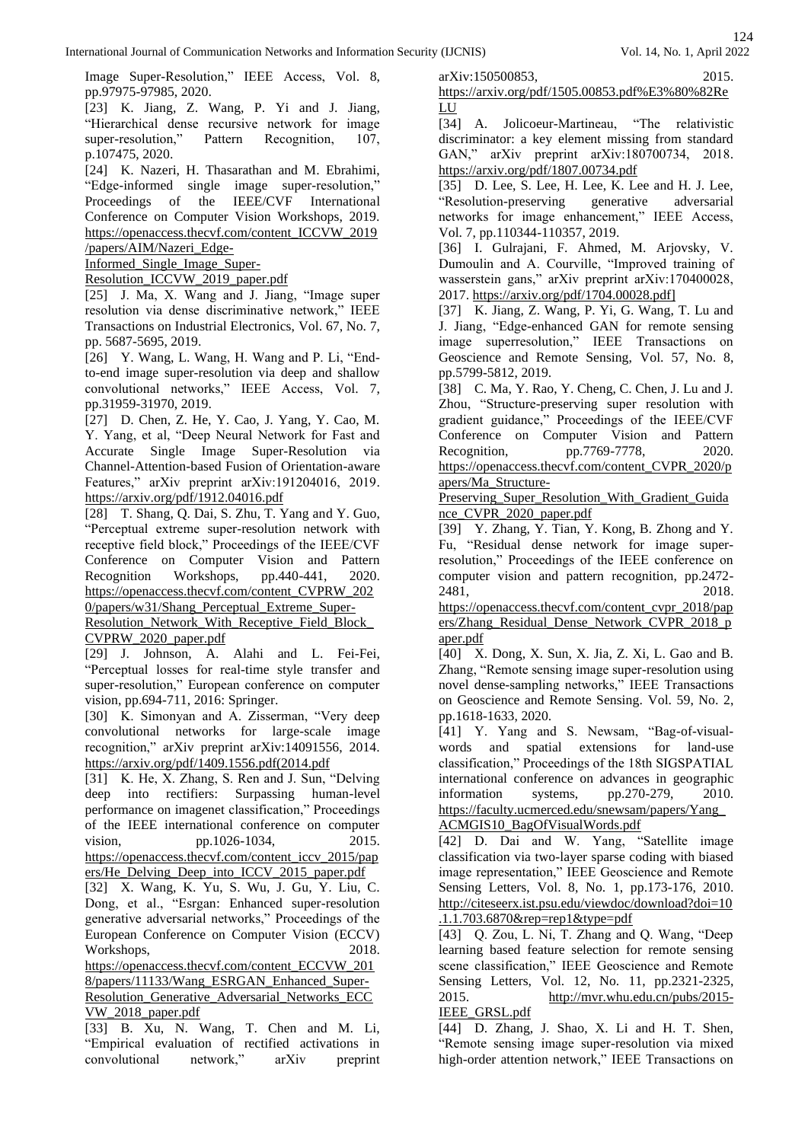Image Super-Resolution," IEEE Access, Vol. 8, pp.97975-97985, 2020.

[23] K. Jiang, Z. Wang, P. Yi and J. Jiang, "Hierarchical dense recursive network for image super-resolution," Pattern Recognition, 107, p.107475, 2020.

[24] K. Nazeri, H. Thasarathan and M. Ebrahimi, "Edge-informed single image super-resolution," Proceedings of the IEEE/CVF International Conference on Computer Vision Workshops, 2019. [https://openaccess.thecvf.com/content\\_ICCVW\\_2019](https://openaccess.thecvf.com/content_ICCVW_2019/papers/AIM/Nazeri_Edge-Informed_Single_Image_Super-Resolution_ICCVW_2019_paper.pdf)

[/papers/AIM/Nazeri\\_Edge-](https://openaccess.thecvf.com/content_ICCVW_2019/papers/AIM/Nazeri_Edge-Informed_Single_Image_Super-Resolution_ICCVW_2019_paper.pdf)

[Informed\\_Single\\_Image\\_Super-](https://openaccess.thecvf.com/content_ICCVW_2019/papers/AIM/Nazeri_Edge-Informed_Single_Image_Super-Resolution_ICCVW_2019_paper.pdf)

[Resolution\\_ICCVW\\_2019\\_paper.pdf](https://openaccess.thecvf.com/content_ICCVW_2019/papers/AIM/Nazeri_Edge-Informed_Single_Image_Super-Resolution_ICCVW_2019_paper.pdf)

[25] J. Ma, X. Wang and J. Jiang, "Image super resolution via dense discriminative network," IEEE Transactions on Industrial Electronics, Vol. 67, No. 7, pp. 5687-5695, 2019.

[26] Y. Wang, L. Wang, H. Wang and P. Li, "Endto-end image super-resolution via deep and shallow convolutional networks," IEEE Access, Vol. 7, pp.31959-31970, 2019.

[27] D. Chen, Z. He, Y. Cao, J. Yang, Y. Cao, M. Y. Yang, et al, "Deep Neural Network for Fast and Accurate Single Image Super-Resolution via Channel-Attention-based Fusion of Orientation-aware Features," arXiv preprint arXiv:191204016, 2019. <https://arxiv.org/pdf/1912.04016.pdf>

[28] T. Shang, Q. Dai, S. Zhu, T. Yang and Y. Guo, "Perceptual extreme super-resolution network with receptive field block," Proceedings of the IEEE/CVF Conference on Computer Vision and Pattern Recognition Workshops, pp.440-441, 2020. [https://openaccess.thecvf.com/content\\_CVPRW\\_202](https://openaccess.thecvf.com/content_CVPRW_2020/papers/w31/Shang_Perceptual_Extreme_Super-Resolution_Network_With_Receptive_Field_Block_CVPRW_2020_paper.pdf) [0/papers/w31/Shang\\_Perceptual\\_Extreme\\_Super-](https://openaccess.thecvf.com/content_CVPRW_2020/papers/w31/Shang_Perceptual_Extreme_Super-Resolution_Network_With_Receptive_Field_Block_CVPRW_2020_paper.pdf)

[Resolution\\_Network\\_With\\_Receptive\\_Field\\_Block\\_](https://openaccess.thecvf.com/content_CVPRW_2020/papers/w31/Shang_Perceptual_Extreme_Super-Resolution_Network_With_Receptive_Field_Block_CVPRW_2020_paper.pdf) [CVPRW\\_2020\\_paper.pdf](https://openaccess.thecvf.com/content_CVPRW_2020/papers/w31/Shang_Perceptual_Extreme_Super-Resolution_Network_With_Receptive_Field_Block_CVPRW_2020_paper.pdf)

[29] J. Johnson, A. Alahi and L. Fei-Fei, "Perceptual losses for real-time style transfer and super-resolution," European conference on computer vision, pp.694-711, 2016: Springer.

[30] K. Simonyan and A. Zisserman, "Very deep convolutional networks for large-scale image recognition," arXiv preprint arXiv:14091556, 2014. [https://arxiv.org/pdf/1409.1556.pdf\(2014.pdf](https://arxiv.org/pdf/1409.1556.pdf(2014.pdf)

[31] K. He, X. Zhang, S. Ren and J. Sun, "Delving deep into rectifiers: Surpassing human-level performance on imagenet classification," Proceedings of the IEEE international conference on computer vision, pp.1026-1034, 2015.

[https://openaccess.thecvf.com/content\\_iccv\\_2015/pap](https://openaccess.thecvf.com/content_iccv_2015/papers/He_Delving_Deep_into_ICCV_2015_paper.pdf) [ers/He\\_Delving\\_Deep\\_into\\_ICCV\\_2015\\_paper.pdf](https://openaccess.thecvf.com/content_iccv_2015/papers/He_Delving_Deep_into_ICCV_2015_paper.pdf)

[32] X. Wang, K. Yu, S. Wu, J. Gu, Y. Liu, C. Dong, et al., "Esrgan: Enhanced super-resolution generative adversarial networks," Proceedings of the European Conference on Computer Vision (ECCV) Workshops, 2018.

[https://openaccess.thecvf.com/content\\_ECCVW\\_201](https://openaccess.thecvf.com/content_ECCVW_2018/papers/11133/Wang_ESRGAN_Enhanced_Super-Resolution_Generative_Adversarial_Networks_ECCVW_2018_paper.pdf) [8/papers/11133/Wang\\_ESRGAN\\_Enhanced\\_Super-](https://openaccess.thecvf.com/content_ECCVW_2018/papers/11133/Wang_ESRGAN_Enhanced_Super-Resolution_Generative_Adversarial_Networks_ECCVW_2018_paper.pdf)

[Resolution\\_Generative\\_Adversarial\\_Networks\\_ECC](https://openaccess.thecvf.com/content_ECCVW_2018/papers/11133/Wang_ESRGAN_Enhanced_Super-Resolution_Generative_Adversarial_Networks_ECCVW_2018_paper.pdf) [VW\\_2018\\_paper.pdf](https://openaccess.thecvf.com/content_ECCVW_2018/papers/11133/Wang_ESRGAN_Enhanced_Super-Resolution_Generative_Adversarial_Networks_ECCVW_2018_paper.pdf)

[33] B. Xu, N. Wang, T. Chen and M. Li, "Empirical evaluation of rectified activations in convolutional network," arXiv preprint arXiv:150500853, 2015.

[https://arxiv.org/pdf/1505.00853.pdf%E3%80%82Re](https://arxiv.org/pdf/1505.00853.pdf%E3%80%82ReLU) [LU](https://arxiv.org/pdf/1505.00853.pdf%E3%80%82ReLU)

[34] A. Jolicoeur-Martineau, "The relativistic discriminator: a key element missing from standard GAN," arXiv preprint arXiv:180700734, 2018. <https://arxiv.org/pdf/1807.00734.pdf>

[35] D. Lee, S. Lee, H. Lee, K. Lee and H. J. Lee, "Resolution-preserving generative adversarial networks for image enhancement," IEEE Access, Vol. 7, pp.110344-110357, 2019.

[36] I. Gulrajani, F. Ahmed, M. Arjovsky, V. Dumoulin and A. Courville, "Improved training of wasserstein gans," arXiv preprint arXiv:170400028, 2017. [https://arxiv.org/pdf/1704.00028.pdf\]](https://arxiv.org/pdf/1704.00028.pdf%5d)

[37] K. Jiang, Z. Wang, P. Yi, G. Wang, T. Lu and J. Jiang, "Edge-enhanced GAN for remote sensing image superresolution," IEEE Transactions on Geoscience and Remote Sensing, Vol. 57, No. 8, pp.5799-5812, 2019.

[38] C. Ma, Y. Rao, Y. Cheng, C. Chen, J. Lu and J. Zhou, "Structure-preserving super resolution with gradient guidance," Proceedings of the IEEE/CVF Conference on Computer Vision and Pattern Recognition, pp.7769-7778, 2020. [https://openaccess.thecvf.com/content\\_CVPR\\_2020/p](https://openaccess.thecvf.com/content_CVPR_2020/papers/Ma_Structure-Preserving_Super_Resolution_With_Gradient_Guidance_CVPR_2020_paper.pdf) [apers/Ma\\_Structure-](https://openaccess.thecvf.com/content_CVPR_2020/papers/Ma_Structure-Preserving_Super_Resolution_With_Gradient_Guidance_CVPR_2020_paper.pdf)

Preserving Super Resolution With Gradient Guida [nce\\_CVPR\\_2020\\_paper.pdf](https://openaccess.thecvf.com/content_CVPR_2020/papers/Ma_Structure-Preserving_Super_Resolution_With_Gradient_Guidance_CVPR_2020_paper.pdf)

[39] Y. Zhang, Y. Tian, Y. Kong, B. Zhong and Y. Fu, "Residual dense network for image superresolution," Proceedings of the IEEE conference on computer vision and pattern recognition, pp.2472- 2481, 2018.

[https://openaccess.thecvf.com/content\\_cvpr\\_2018/pap](https://openaccess.thecvf.com/content_cvpr_2018/papers/Zhang_Residual_Dense_Network_CVPR_2018_paper.pdf) [ers/Zhang\\_Residual\\_Dense\\_Network\\_CVPR\\_2018\\_p](https://openaccess.thecvf.com/content_cvpr_2018/papers/Zhang_Residual_Dense_Network_CVPR_2018_paper.pdf) [aper.pdf](https://openaccess.thecvf.com/content_cvpr_2018/papers/Zhang_Residual_Dense_Network_CVPR_2018_paper.pdf)

[40] X. Dong, X. Sun, X. Jia, Z. Xi, L. Gao and B. Zhang, "Remote sensing image super-resolution using novel dense-sampling networks," IEEE Transactions on Geoscience and Remote Sensing. Vol. 59, No. 2, pp.1618-1633, 2020.

[41] Y. Yang and S. Newsam, "Bag-of-visualwords and spatial extensions for land-use classification," Proceedings of the 18th SIGSPATIAL international conference on advances in geographic information systems, pp.270-279, 2010. [https://faculty.ucmerced.edu/snewsam/papers/Yang\\_](https://faculty.ucmerced.edu/snewsam/papers/Yang_ACMGIS10_BagOfVisualWords.pdf) [ACMGIS10\\_BagOfVisualWords.pdf](https://faculty.ucmerced.edu/snewsam/papers/Yang_ACMGIS10_BagOfVisualWords.pdf)

[42] D. Dai and W. Yang, "Satellite image classification via two-layer sparse coding with biased image representation," IEEE Geoscience and Remote Sensing Letters, Vol. 8, No. 1, pp.173-176, 2010. [http://citeseerx.ist.psu.edu/viewdoc/download?doi=10](http://citeseerx.ist.psu.edu/viewdoc/download?doi=10.1.1.703.6870&rep=rep1&type=pdf) [.1.1.703.6870&rep=rep1&type=pdf](http://citeseerx.ist.psu.edu/viewdoc/download?doi=10.1.1.703.6870&rep=rep1&type=pdf)

[43] Q. Zou, L. Ni, T. Zhang and Q. Wang, "Deep learning based feature selection for remote sensing scene classification," IEEE Geoscience and Remote Sensing Letters, Vol. 12, No. 11, pp.2321-2325, 2015. [http://mvr.whu.edu.cn/pubs/2015-](http://mvr.whu.edu.cn/pubs/2015-IEEE_GRSL.pdf) [IEEE\\_GRSL.pdf](http://mvr.whu.edu.cn/pubs/2015-IEEE_GRSL.pdf)

[44] D. Zhang, J. Shao, X. Li and H. T. Shen, "Remote sensing image super-resolution via mixed high-order attention network," IEEE Transactions on